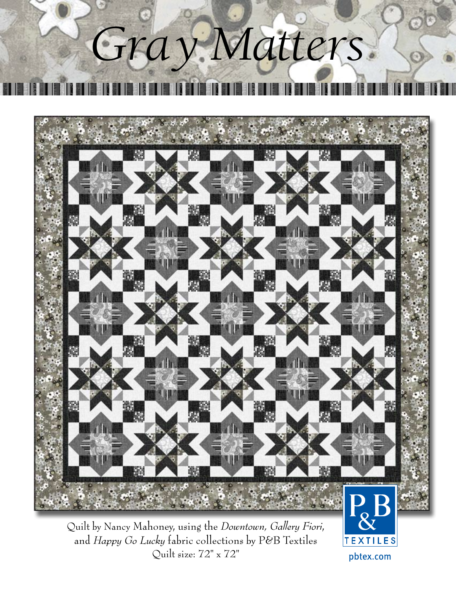# *Gray Matters*



Quilt by Nancy Mahoney, using the *Downtown, Gallery Fiori*, and *Happy Go Lucky* fabric collections by P&B Textiles Quilt size: 72" x 72"

**TEXTILES** pbtex.com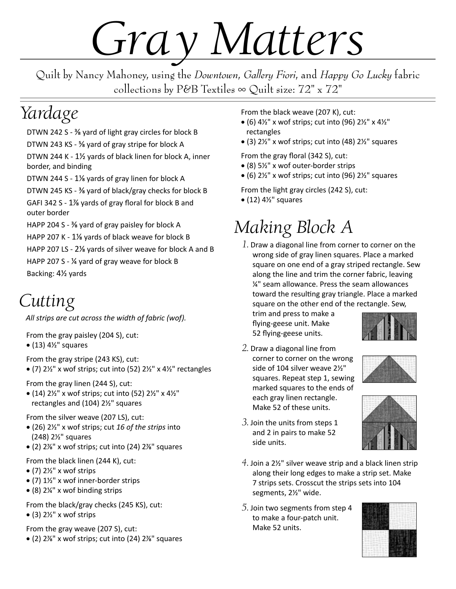## *Gray Matters*

Quilt by Nancy Mahoney, using the *Downtown*, *Gallery Fiori*, and *Happy Go Lucky* fabric collections by P&B Textiles  $\infty$  Quilt size: 72" x 72"

#### *Yardage*

DTWN 242 S - ⅜ yard of light gray circles for block B DTWN 243 KS - ⅝ yard of gray stripe for block A DTWN 244 K - 1½ yards of black linen for block A, inner border, and binding

DTWN 244 S - 1⅛ yards of gray linen for block A

DTWN 245 KS - ⅜ yard of black/gray checks for block B

GAFI 342 S - 1⅞ yards of gray floral for block B and outer border

HAPP 204 S - ⅜ yard of gray paisley for block A HAPP 207 K - 1⅛ yards of black weave for block B

HAPP 207 LS - 2⅛ yards of silver weave for block A and B HAPP 207 S - ¼ yard of gray weave for block B Backing: 4½ yards

#### *Cutting*

*All strips are cut across the width of fabric (wof).*

From the gray paisley (204 S), cut:

 $\bullet$  (13) 4½" squares

From the gray stripe (243 KS), cut:

• (7)  $2\frac{1}{2}$ " x wof strips; cut into (52)  $2\frac{1}{2}$ " x  $4\frac{1}{2}$ " rectangles

From the gray linen (244 S), cut:

• (14)  $2\frac{1}{2}$ " x wof strips; cut into (52)  $2\frac{1}{2}$ " x  $4\frac{1}{2}$ " rectangles and (104) 2½" squares

From the silver weave (207 LS), cut:

- (26) 2½" x wof strips; cut *16 of the strips* into (248) 2½" squares
- (2) 2⅞" x wof strips; cut into (24) 2⅞" squares

From the black linen (244 K), cut:

- $\bullet$  (7) 2½" x wof strips
- (7) 1½" x wof inner-border strips
- (8) 2¼" x wof binding strips

From the black/gray checks (245 KS), cut:  $\bullet$  (3) 2½" x wof strips

From the gray weave (207 S), cut:

• (2) 2⅞" x wof strips; cut into (24) 2⅞" squares

From the black weave (207 K), cut:

- (6)  $4\frac{1}{2}$ " x wof strips; cut into (96)  $2\frac{1}{2}$ " x  $4\frac{1}{2}$ " rectangles
- (3) 2½" x wof strips; cut into (48) 2½" squares

From the gray floral (342 S), cut:

- (8) 5½" x wof outer-border strips
- $\bullet$  (6) 2½" x wof strips; cut into (96) 2½" squares

From the light gray circles (242 S), cut:

 $\bullet$  (12) 4½" squares

### *Making Block A*

*1*. Draw a diagonal line from corner to corner on the wrong side of gray linen squares. Place a marked square on one end of a gray striped rectangle. Sew along the line and trim the corner fabric, leaving ¼" seam allowance. Press the seam allowances toward the resulting gray triangle. Place a marked square on the other end of the rectangle. Sew,

trim and press to make a flying-geese unit. Make 52 flying-geese units.



*2*. Draw a diagonal line from corner to corner on the wrong side of 104 silver weave 2½" squares. Repeat step 1, sewing marked squares to the ends of each gray linen rectangle. Make 52 of these units.



- *3*. Join the units from steps 1 and 2 in pairs to make 52 side units.
- *4*. Join a 2½" silver weave strip and a black linen strip along their long edges to make a strip set. Make 7 strips sets. Crosscut the strips sets into 104 segments, 2½" wide.
- *5*. Join two segments from step 4 to make a four-patch unit. Make 52 units.